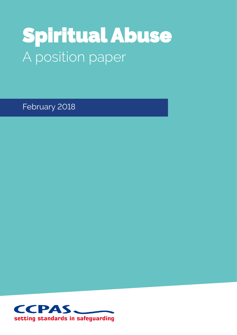# Spiritual Abuse A position paper

February 2018

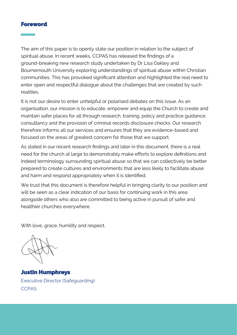#### Foreword

 $\overline{a}$ 

The aim of this paper is to openly state our position in relation to the subject of spiritual abuse. In recent weeks, CCPAS has released the findings of a ground-breaking new research study undertaken by Dr Lisa Oakley and Bournemouth University exploring understandings of spiritual abuse within Christian communities. This has provoked significant attention and highlighted the real need to enter open and respectful dialogue about the challenges that are created by such realities.

It is not our desire to enter unhelpful or polarised debates on this issue. As an organisation, our mission is to educate, empower and equip the Church to create and maintain safer places for all through research, training, policy and practice guidance, consultancy and the provision of criminal records disclosure checks. Our research therefore informs all our services and ensures that they are evidence-based and focused on the areas of greatest concern for those that we support.

As stated in our recent research findings and later in this document, there is a real need for the church at large to demonstrably make efforts to explore definitions and indeed terminology surrounding spiritual abuse so that we can collectively be better prepared to create cultures and environments that are less likely to facilitate abuse and harm and respond appropriately when it is identified.

We trust that this document is therefore helpful in bringing clarity to our position and will be seen as a clear indication of our basis for continuing work in this area alongside others who also are committed to being active in pursuit of safer and healthier churches everywhere.

With love, grace, humility and respect.

Justin Humphreys Executive Director (Safeguarding) **CCPAS**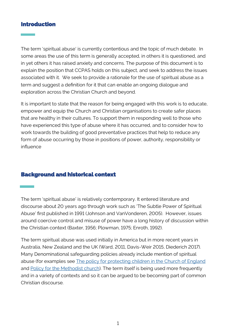## Introduction

 $\overline{a}$ 

The term 'spiritual abuse' is currently contentious and the topic of much debate. In some areas the use of this term is generally accepted, in others it is questioned, and in yet others it has raised anxiety and concerns. The purpose of this document is to explain the position that CCPAS holds on this subject, and seek to address the issues associated with it. We seek to provide a rationale for the use of spiritual abuse as a term and suggest a definition for it that can enable an ongoing dialogue and exploration across the Christian Church and beyond.

It is important to state that the reason for being engaged with this work is to educate, empower and equip the Church and Christian organisations to create safer places that are healthy in their cultures. To support them in responding well to those who have experienced this type of abuse where it has occurred, and to consider how to work towards the building of good preventative practices that help to reduce any form of abuse occurring by those in positions of power, authority, responsibility or influence

# Background and historical context

The term 'spiritual abuse' is relatively contemporary. It entered literature and discourse about 20 years ago through work such as 'The Subtle Power of Spiritual Abuse' first published in 1991 (Johnson and VanVonderen, 2005). However, issues around coercive control and misuse of power have a long history of discussion within the Christian context (Baxter, 1956; Plowman, 1975; Enroth, 1992).

The term spiritual abuse was used initially in America but in more recent years in Australia, New Zealand and the UK (Ward, 2011, Davis-Weir 2015, Diederich 2017). Many Denominational safeguarding policies already include mention of spiritual abuse (for examples see [The policy for protecting children in the Church of England](https://www.churchofengland.org/sites/default/files/2017-11/protectingallgodschildren.pdf) and [Policy for the Methodist church\).](http://www.methodist.org.uk/downloads/safe-update-3-1110-childrenandyoungpeople.pdf) The term itself is being used more frequently and in a variety of contexts and so it can be argued to be becoming part of common Christian discourse.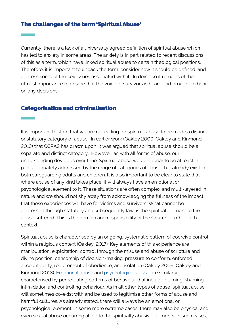#### The challenges of the term 'Spiritual Abuse'

 $\overline{a}$ 

Currently, there is a lack of a universally agreed definition of spiritual abuse which has led to anxiety in some areas. The anxiety is in part related to recent discussions of this as a term, which have linked spiritual abuse to certain theological positions. Therefore, it is important to unpack the term, consider how it should be defined, and address some of the key issues associated with it. In doing so it remains of the utmost importance to ensure that the voice of survivors is heard and brought to bear on any decisions.

#### Categorisation and criminalisation

It is important to state that we are not calling for spiritual abuse to be made a distinct or statutory category of abuse. In earlier work (Oakley 2009, Oakley and Kinmond 2013) that CCPAS has drawn upon, it was argued that spiritual abuse should be a separate and distinct category. However, as with all forms of abuse, our understanding develops over time. Spiritual abuse would appear to be at least in part, adequately addressed by the range of categories of abuse that already exist in both safeguarding adults and children. It is also important to be clear to state that where abuse of any kind takes place, it will always have an emotional or psychological element to it. These situations are often complex and multi-layered in nature and we should not shy away from acknowledging the fullness of the impact that these experiences will have for victims and survivors. What cannot be addressed through statutory and subsequently law, is the spiritual element to the abuse suffered. This is the domain and responsibility of the Church or other faith context.

Spiritual abuse is characterised by an ongoing, systematic pattern of coercive control within a religious context (Oakley, 2017). Key elements of this experience are manipulation, exploitation, control through the misuse and abuse of scripture and divine position, censorship of decision-making, pressure to conform, enforced accountability, requirement of obedience, and isolation (Oakley 2009, Oakley and Kinmond 2013). [Emotional abuse](http://www.workingtogetheronline.co.uk/glossary/emo_abuse.html) and [psychological abuse](https://www.scie.org.uk/publications/ataglance/69-adults-safeguarding-types-and-indicators-of-abuse.asp) are similarly characterised by perpetuating patterns of behaviour that include blaming, shaming, intimidation and controlling behaviour. As in all other types of abuse, spiritual abuse will sometimes co-exist with and be used to legitimise other forms of abuse and harmful cultures. As already stated, there will always be an emotional or psychological element. In some more extreme cases, there may also be physical and even sexual abuse occurring allied to the spiritually abusive elements. In such cases,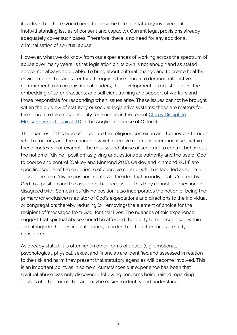it is clear that there would need to be some form of statutory involvement (notwithstanding issues of consent and capacity). Current legal provisions already adequately cover such cases. Therefore, there is no need for any additional criminalisation of spiritual abuse.

However, what we do know from our experiences of working across the spectrum of abuse over many years, is that legislation on its own is not enough and as stated above, not always applicable. To bring about cultural change and to create healthy environments that are safer for all, requires the Church to demonstrate active commitment from organisational leaders, the development of robust policies, the embedding of safer practices, and sufficient training and support of workers and those responsible for responding when issues arise. These issues cannot be brought within the purview of statutory or secular legislative systems; these are matters for the Church to take responsibility for (such as in the recent [Clergy Discipline](https://www.churchofengland.org/sites/default/files/2018-01/TD%20Judgement%20final%2020181228.pdf)  [Measure verdict against TD](https://www.churchofengland.org/sites/default/files/2018-01/TD%20Judgement%20final%2020181228.pdf) in the Anglican diocese of Oxford).

The nuances of this type of abuse are the religious context in and framework through which it occurs, and the manner in which coercive control is operationalised within these contexts. For example, the misuse and abuse of scripture to control behaviour, the notion of 'divine position' as giving unquestionable authority and the use of God to coerce and control (Oakley and Kinmond 2013, Oakley and Kinmond 2014) are specific aspects of the experience of coercive control, which is labelled as spiritual abuse. The term 'divine position' relates to the idea that an individual is 'called' by God to a position and the assertion that because of this they cannot be questioned or disagreed with. Sometimes 'divine position' also incorporates the notion of being the primary (or exclusive) mediator of God's expectations and directions to the individual or congregation; thereby reducing (or removing) the element of choice for the recipient of 'messages from God' for their lives. The nuances of this experience suggest that spiritual abuse should be afforded the ability to be recognised within and alongside the existing categories, in order that the differences are fully considered.

As already stated, it is often when other forms of abuse (e.g. emotional, psychological, physical, sexual and financial) are identified and assessed in relation to the risk and harm they present that statutory agencies will become involved. This is an important point, as in some circumstances our experience has been that spiritual abuse was only discovered following concerns being raised regarding abuses of other forms that are maybe easier to identify and understand.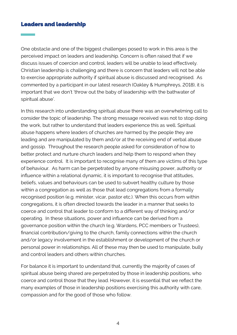# Leaders and leadership

 $\overline{a}$ 

One obstacle and one of the biggest challenges posed to work in this area is the perceived impact on leaders and leadership. Concern is often raised that if we discuss issues of coercion and control, leaders will be unable to lead effectively. Christian leadership is challenging and there is concern that leaders will not be able to exercise appropriate authority if spiritual abuse is discussed and recognised. As commented by a participant in our latest research (Oakley & Humphreys, 2018), it is important that we don't 'throw out the baby of leadership with the bathwater of spiritual abuse'.

In this research into understanding spiritual abuse there was an overwhelming call to consider the topic of leadership. The strong message received was not to stop doing the work, but rather to understand that leaders experience this as well. Spiritual abuse happens where leaders of churches are harmed by the people they are leading and are manipulated by them and/or at the receiving end of verbal abuse and gossip. Throughout the research people asked for consideration of how to better protect and nurture church leaders and help them to respond when they experience control. It is important to recognise many of them are victims of this type of behaviour. As harm can be perpetrated by anyone misusing power, authority or influence within a relational dynamic, it is important to recognise that attitudes, beliefs, values and behaviours can be used to subvert healthy culture by those within a congregation as well as those that lead congregations from a formally recognised position (e.g. minister, vicar, pastor etc.). When this occurs from within congregations, it is often directed towards the leader in a manner that seeks to coerce and control that leader to conform to a different way of thinking and/or operating. In these situations, power and influence can be derived from a governance position within the church (e.g. Wardens, PCC members or Trustees), financial contribution/giving to the church, family connections within the church and/or legacy involvement in the establishment or development of the church or personal power in relationships. All of these may then be used to manipulate, bully and control leaders and others within churches.

For balance it is important to understand that, currently the majority of cases of spiritual abuse being shared are perpetrated by those in leadership positions, who coerce and control those that they lead. However, it is essential that we reflect the many examples of those in leadership positions exercising this authority with care, compassion and for the good of those who follow.

4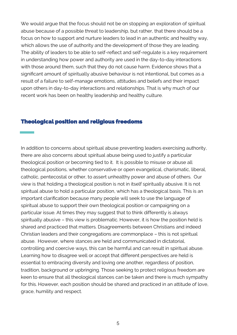We would argue that the focus should not be on stopping an exploration of spiritual abuse because of a possible threat to leadership, but rather, that there should be a focus on how to support and nurture leaders to lead in an authentic and healthy way, which allows the use of authority and the development of those they are leading. The ability of leaders to be able to self-reflect and self-regulate is a key requirement in understanding how power and authority are used in the day-to-day interactions with those around them, such that they do not cause harm. Evidence shows that a significant amount of spiritually abusive behaviour is not intentional, but comes as a result of a failure to self-manage emotions, attitudes and beliefs and their impact upon others in day-to-day interactions and relationships. That is why much of our recent work has been on healthy leadership and healthy culture.

## Theological position and religious freedoms

 $\frac{1}{\sqrt{2}}$ 

In addition to concerns about spiritual abuse preventing leaders exercising authority, there are also concerns about spiritual abuse being used to justify a particular theological position or becoming tied to it. It is possible to misuse or abuse all theological positions, whether conservative or open evangelical, charismatic, liberal, catholic, pentecostal or other, to assert unhealthy power and abuse of others. Our view is that holding a theological position is not in itself spiritually abusive. It is not spiritual abuse to hold a particular position, which has a theological basis. This is an important clarification because many people will seek to use the language of spiritual abuse to support their own theological position or campaigning on a particular issue. At times they may suggest that to think differently is always spiritually abusive – this view is problematic. However, it is how the position held is shared and practiced that matters. Disagreements between Christians and indeed Christian leaders and their congregations are commonplace – this is not spiritual abuse. However, where stances are held and communicated in dictatorial, controlling and coercive ways, this can be harmful and can result in spiritual abuse. Learning how to disagree well or accept that different perspectives are held is essential to embracing diversity and loving one another, regardless of position, tradition, background or upbringing. Those seeking to protect religious freedom are keen to ensure that all theological stances can be taken and there is much sympathy for this. However, each position should be shared and practiced in an attitude of love, grace, humility and respect.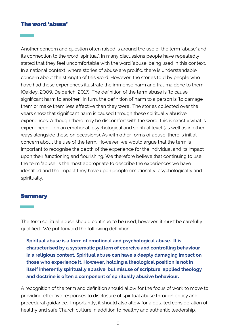# The word 'abuse'

l

Another concern and question often raised is around the use of the term 'abuse' and its connection to the word 'spiritual'. In many discussions people have repeatedly stated that they feel uncomfortable with the word 'abuse' being used in this context. In a national context, where stories of abuse are prolific, there is understandable concern about the strength of this word. However, the stories told by people who have had these experiences illustrate the immense harm and trauma done to them (Oakley, 2009, Deiderich, 2017). The definition of the term abuse is 'to cause significant harm to another'. In turn, the definition of harm to a person is 'to damage them or make them less effective than they were'. The stories collected over the years show that significant harm is caused through these spiritually abusive experiences. Although there may be discomfort with the word, this is exactly what is experienced – on an emotional, psychological and spiritual level (as well as in other ways alongside these on occasions). As with other forms of abuse, there is initial concern about the use of the term. However, we would argue that the term is important to recognise the depth of the experience for the individual and its impact upon their functioning and flourishing. We therefore believe that continuing to use the term 'abuse' is the most appropriate to describe the experiences we have identified and the impact they have upon people emotionally, psychologically and spiritually.

#### **Summary**

j

The term spiritual abuse should continue to be used, however, it must be carefully qualified. We put forward the following definition:

**Spiritual abuse is a form of emotional and psychological abuse. It is characterised by a systematic pattern of coercive and controlling behaviour in a religious context. Spiritual abuse can have a deeply damaging impact on those who experience it. However, holding a theological position is not in itself inherently spiritually abusive, but misuse of scripture, applied theology and doctrine is often a component of spiritually abusive behaviour.** 

A recognition of the term and definition should allow for the focus of work to move to providing effective responses to disclosure of spiritual abuse through policy and procedural guidance. Importantly, it should also allow for a detailed consideration of healthy and safe Church culture in addition to healthy and authentic leadership.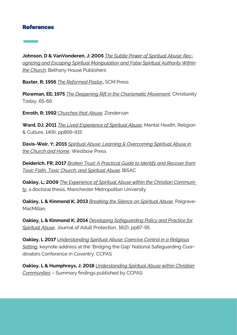# References

**Johnson, D & VanVonderen, J; 2005** *The Subtle Power of Spiritual Abuse: Recognizing and Escaping Spiritual Manipulation and False Spiritual Authority Within the Church,* Bethany House Publishers

**Baxter, R; 1956** *The Reformed Pastor***,** SCM Press

**Plowman, EE; 1975** *The Deepening Rift in the Charismatic Movement,* Christianity Today, 65-66

**Enroth, R; 1992** *Churches that Abuse,* Zondervan

**Ward, DJ; 2011** *The Lived Experience of Spiritual Abuse*, Mental Health, Religion & Culture, 14(9), pp899-915

**Davis-Weir, Y; 2015** *Spiritual Abuse: Learning & Overcoming Spiritual Abuse in the Church and Home*, Westbow Press

**Deiderich, FR; 2017** *Broken Trust: A Practical Guide to Identify and Recover from Toxic Faith, Toxic Church, and Spiritual Abuse.* BISAC

**Oakley, L; 2009** *The Experience of Spiritual Abuse within the Christian Community*, a doctoral thesis, Manchester Metropolitan University

**Oakley, L & Kinmond K; 2013** *Breaking the Silence on Spiritual Abuse*, Palgrave-MacMillan.

**Oakley, L & Kinmond K; 2014** *Developing Safeguarding Policy and Practice for Spiritual Abuse*, Journal of Adult Protection, 16(2), pp87-95

**Oakley, L 2017** *Understanding Spiritual Abuse: Coercive Control in a Religious Setting*, keynote address at the 'Bridging the Gap' National Safeguarding Coordinators Conference in Coventry, CCPAS

**Oakley, L & Humphreys, J; 2018** *Understanding Spiritual Abuse within Christian Communities* – Summary findings published by CCPAS